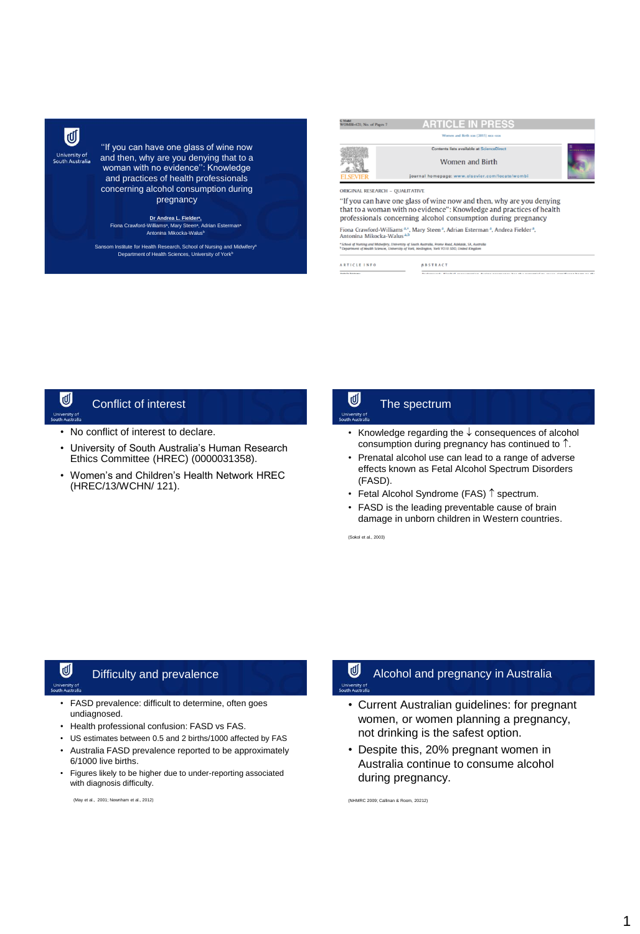

''If you can have one glass of wine now and then, why are you denying that to a woman with no evidence'': Knowledge and practices of health professionals concerning alcohol consumption during pregnancy

**Dr Andrea L. Fielder<sup>a</sup> ,** Fiona Crawford-Williams<sup>a</sup> , Mary Steen<sup>a</sup> , Adrian Esterman<sup>a</sup> Antonina Mikocka-Walus<sup>b</sup>

Sansom Institute for Health Research, School of Nursing and Midwifery<sup>s</sup> Department of Health Sciences, University of York

|                                       | Contents lists available at ScienceDirect                                                                                             |                      |
|---------------------------------------|---------------------------------------------------------------------------------------------------------------------------------------|----------------------|
|                                       |                                                                                                                                       | <b>WEN SAIN STEP</b> |
|                                       | Women and Birth                                                                                                                       |                      |
|                                       | journal homepage: www.elsevier.com/locate/wombi                                                                                       |                      |
|                                       | ORIGINAL RESEARCH - OUALITATIVE<br>"If you can have one glass of wine now and then, why are you denying                               |                      |
|                                       | that to a woman with no evidence": Knowledge and practices of health<br>professionals concerning alcohol consumption during pregnancy |                      |
| Antonina Mikocka-Walus <sup>a,b</sup> | Fiona Crawford-Williams <sup>a,*</sup> , Mary Steen <sup>a</sup> , Adrian Esterman <sup>a</sup> , Andrea Fielder <sup>a</sup> ,       |                      |

## U Conflict of interest

- No conflict of interest to declare.
- University of South Australia's Human Research Ethics Committee (HREC) (0000031358).
- Women's and Children's Health Network HREC (HREC/13/WCHN/ 121).

## U The spectrum

- Knowledge regarding the  $\downarrow$  consequences of alcohol consumption during pregnancy has continued to  $\uparrow$ .
- Prenatal alcohol use can lead to a range of adverse effects known as Fetal Alcohol Spectrum Disorders (FASD).
- Fetal Alcohol Syndrome (FAS)  $\uparrow$  spectrum.
- FASD is the leading preventable cause of brain damage in unborn children in Western countries.

(Sokol et al., 2003)

## ⋓ Difficulty and prevalence

- FASD prevalence: difficult to determine, often goes undiagnosed.
- Health professional confusion: FASD vs FAS.
- US estimates between 0.5 and 2 births/1000 affected by FAS
- Australia FASD prevalence reported to be approximately
- 6/1000 live births. • Figures likely to be higher due to under-reporting associated with diagnosis difficulty.

(May et al., 2001; Newnham et al., 2012)

### τ Alcohol and pregnancy in Australia

- Current Australian guidelines: for pregnant women, or women planning a pregnancy, not drinking is the safest option.
- Despite this, 20% pregnant women in Australia continue to consume alcohol during pregnancy.

(NHMRC 2009; Callinan & Room, 20212)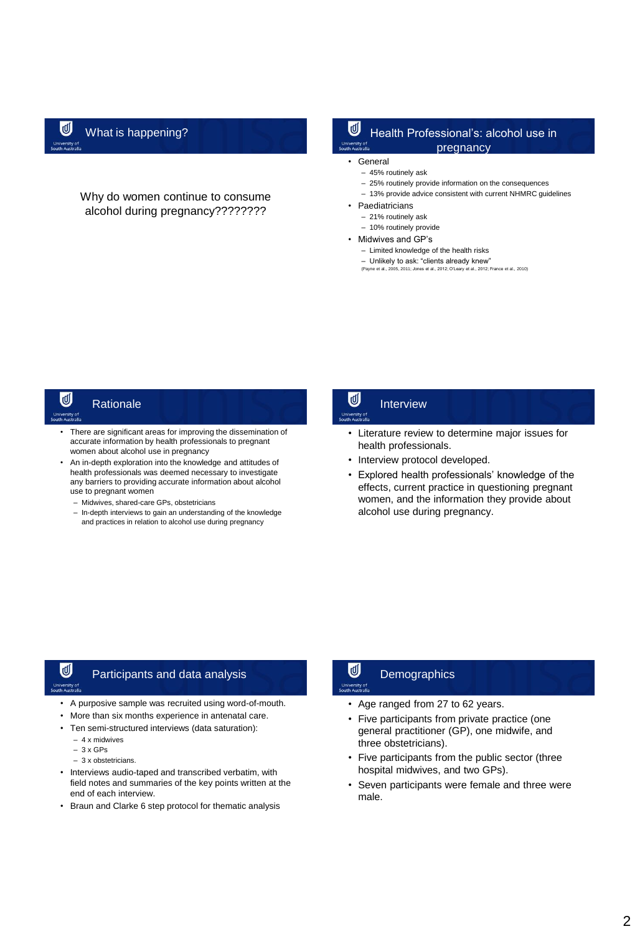Why do women continue to consume alcohol during pregnancy????????

## What is happening?  $\Box$  Health Professional's: alcohol use in pregnancy

- **General** 
	- 45% routinely ask
	- 25% routinely provide information on the consequences
	- 13% provide advice consistent with current NHMRC guidelines
- **Paediatricians** 
	- 21% routinely ask
	- 10% routinely provide
- Midwives and GP's
	- Limited knowledge of the health risks
	- Unlikely to ask: "clients already knew"<br>(Payne et al. 2005, 2011; Jones et al. 2012; Q'leary et al. 2012;
	- (Payne et al., 2005, 2011; Jones et al., 2012; O'Leary et al., 2012; France et al., 2010)

## ď **Rationale**

- There are significant areas for improving the dissemination of accurate information by health professionals to pregnant women about alcohol use in pregnancy
- An in-depth exploration into the knowledge and attitudes of health professionals was deemed necessary to investigate any barriers to providing accurate information about alcohol use to pregnant women
	- Midwives, shared-care GPs, obstetricians
	- In-depth interviews to gain an understanding of the knowledge and practices in relation to alcohol use during pregnancy

## U Interview

- Literature review to determine major issues for health professionals.
- Interview protocol developed.
- Explored health professionals' knowledge of the effects, current practice in questioning pregnant women, and the information they provide about alcohol use during pregnancy.

# ⋓

## Participants and data analysis

- A purposive sample was recruited using word-of-mouth.
- More than six months experience in antenatal care.
- Ten semi-structured interviews (data saturation):
	- 4 x midwives
	- 3 x GPs
	- 3 x obstetricians.
- Interviews audio-taped and transcribed verbatim, with field notes and summaries of the key points written at the end of each interview.
- Braun and Clarke 6 step protocol for thematic analysis

## ⋓ **Demographics**

- Age ranged from 27 to 62 years.
- Five participants from private practice (one general practitioner (GP), one midwife, and three obstetricians).
- Five participants from the public sector (three hospital midwives, and two GPs).
- Seven participants were female and three were male.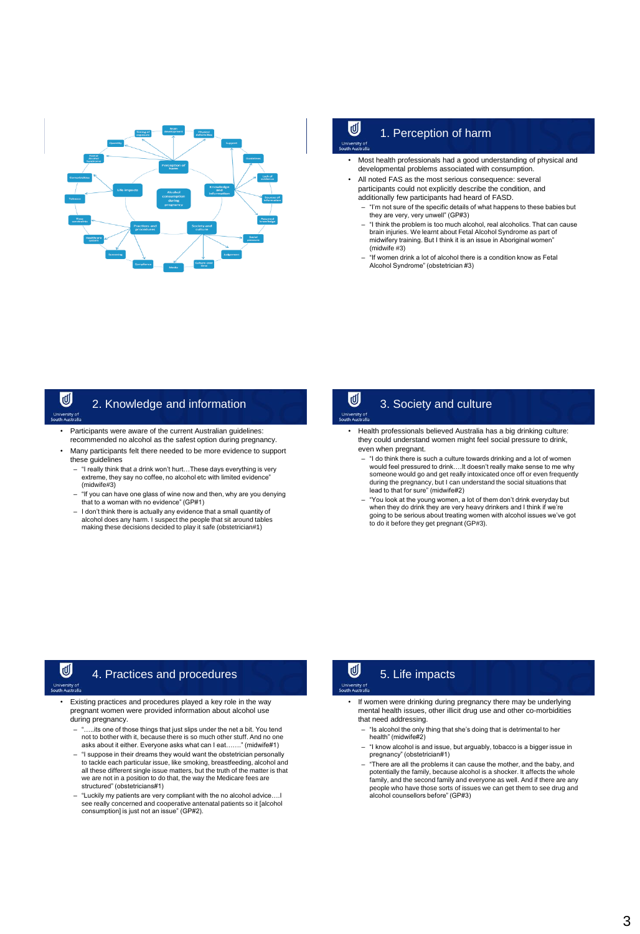

# $\overline{\mathbb{C}}$  1. Perception of harm

- Most health professionals had a good understanding of physical and developmental problems associated with consumption.
- All noted FAS as the most serious consequence: several participants could not explicitly describe the condition, and additionally few participants had heard of FASD.
	- "I'm not sure of the specific details of what happens to these babies but they are very, very unwell" (GP#3)
	- "I think the problem is too much alcohol, real alcoholics. That can cause brain injuries. We learnt about Fetal Alcohol Syndrome as part of midwifery training. But I think it is an issue in Aboriginal women" (midwife #3)
	- "If women drink a lot of alcohol there is a condition know as Fetal Alcohol Syndrome" (obstetrician #3)

# U

## 2. Knowledge and information

- 
- Participants were aware of the current Australian guidelines: recommended no alcohol as the safest option during pregnancy.
- Many participants felt there needed to be more evidence to support these guidelines
	- "I really think that *a* drink won't hurt…These days everything is very extreme, they say no coffee, no alcohol etc with limited evidence (midwife#3)
	- "If you can have one glass of wine now and then, why are you denying that to a woman with no evidence" (GP#1)
	- I don't think there is actually any evidence that a small quantity of alcohol does any harm. I suspect the people that sit around tables making these decisions decided to play it safe (obstetrician#1)

U

# 3. Society and culture

- Health professionals believed Australia has a big drinking culture: they could understand women might feel social pressure to drink, even when pregnant.
	- "I do think there is such a culture towards drinking and a lot of women would feel pressured to drink….It doesn't really make sense to me why someone would go and get really intoxicated once off or even frequently during the pregnancy, but I can understand the social situations that lead to that for sure" (midwife#2)
	- "You look at the young women, a lot of them don't drink everyday but when they do drink they are very heavy drinkers and I think if we're going to be serious about treating women with alcohol issues we've got to do it before they get pregnant (GP#3).

τ

## 4. Practices and procedures

- Existing practices and procedures played a key role in the way pregnant women were provided information about alcohol use during pregnancy.
	- ...its one of those things that just slips under the net a bit. You tend not to bother with it, because there is so much other stuff. And no one asks about it either. Everyone asks what can I eat……." (midwife#1)
	- "I suppose in their dreams they would want the obstetrician personally to tackle each particular issue, like smoking, breastfeeding, alcohol and all these different single issue matters, but the truth of the matter is that we are not in a position to do that, the way the Medicare fees are structured" (obstetricians#1)
	- "Luckily my patients are very compliant with the no alcohol advice….I see really concerned and cooperative antenatal patients so it [alcohol consumption] is just not an issue" (GP#2).

## τ₫ 5. Life impacts

- If women were drinking during pregnancy there may be underlying mental health issues, other illicit drug use and other co-morbidities that need addressing.
	- "Is alcohol the only thing that she's doing that is detrimental to her health" (midwife#2)
	- "I know alcohol is and issue, but arguably, tobacco is a bigger issue in pregnancy" (obstetrician#1)
	- "There are all the problems it can cause the mother, and the baby, and potentially the family, because alcohol is a shocker. It affects the whole family, and the second family and everyone as well. And if there are any people who have those sorts of issues we can get them to see drug and alcohol counsellors before" (GP#3)